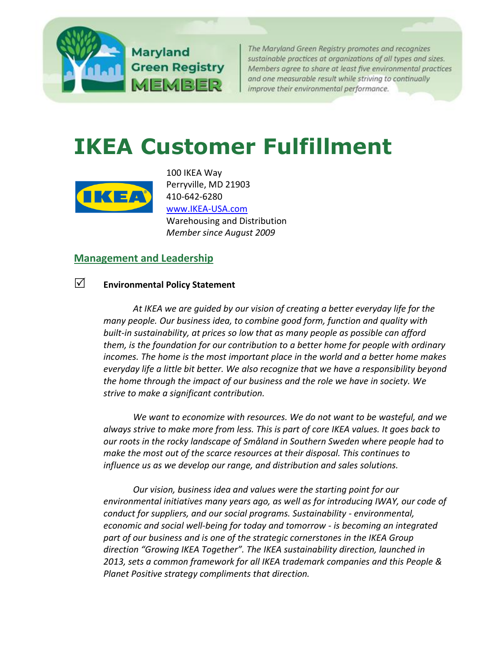

The Maryland Green Registry promotes and recognizes sustainable practices at organizations of all types and sizes. Members agree to share at least five environmental practices and one measurable result while striving to continually improve their environmental performance.

# **IKEA Customer Fulfillment**



100 IKEA Way Perryville, MD 21903 410-642-6280 [www.IKEA-USA.com](file:///C:/Users/mtcb/AppData/Local/Microsoft/Windows/Temporary%20Internet%20Files/Content.Outlook/GDEV3GXN/www.ikea.com/us/en/) Warehousing and Distribution *Member since August 2009*

## **[Management and Leadership](http://mde.maryland.gov/marylandgreen/Pages/Management.aspx)**

## **Environmental Policy Statement**

*At IKEA we are guided by our vision of creating a better everyday life for the many people. Our business idea, to combine good form, function and quality with built-in sustainability, at prices so low that as many people as possible can afford them, is the foundation for our contribution to a better home for people with ordinary incomes. The home is the most important place in the world and a better home makes everyday life a little bit better. We also recognize that we have a responsibility beyond the home through the impact of our business and the role we have in society. We strive to make a significant contribution.* 

*We want to economize with resources. We do not want to be wasteful, and we always strive to make more from less. This is part of core IKEA values. It goes back to our roots in the rocky landscape of Småland in Southern Sweden where people had to make the most out of the scarce resources at their disposal. This continues to influence us as we develop our range, and distribution and sales solutions.* 

*Our vision, business idea and values were the starting point for our environmental initiatives many years ago, as well as for introducing IWAY, our code of conduct for suppliers, and our social programs. Sustainability - environmental, economic and social well-being for today and tomorrow - is becoming an integrated part of our business and is one of the strategic cornerstones in the IKEA Group direction "Growing IKEA Together". The IKEA sustainability direction, launched in 2013, sets a common framework for all IKEA trademark companies and this People & Planet Positive strategy compliments that direction.*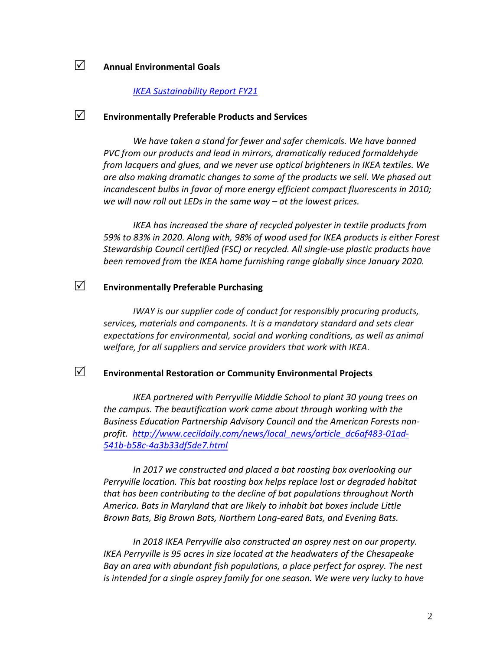## **Annual Environmental Goals**

#### *[IKEA Sustainability Report FY21](https://gbl-sc9u2-prd-cdn.azureedge.net/-/media/aboutikea/newsroom/publications/documents/ikea-sustainability-report-fy21.pdf?rev=d72d435b0c5d416f8dfcb2ec4fcb007a&hash=5F874B8EDF3CB1192824D8EB02AC0CBE)*

## **Environmentally Preferable Products and Services**

*We have taken a stand for fewer and safer chemicals. We have banned PVC from our products and lead in mirrors, dramatically reduced formaldehyde from lacquers and glues, and we never use optical brighteners in IKEA textiles. We are also making dramatic changes to some of the products we sell. We phased out incandescent bulbs in favor of more energy efficient compact fluorescents in 2010; we will now roll out LEDs in the same way – at the lowest prices.*

*IKEA has increased the share of recycled polyester in textile products from 59% to 83% in 2020. Along with, 98% of wood used for IKEA products is either Forest Stewardship Council certified (FSC) or recycled. All single-use plastic products have been removed from the IKEA home furnishing range globally since January 2020.*

## **Environmentally Preferable Purchasing**

*IWAY is our supplier code of conduct for responsibly procuring products, services, materials and components. It is a mandatory standard and sets clear expectations for environmental, social and working conditions, as well as animal welfare, for all suppliers and service providers that work with IKEA.*

## **Environmental Restoration or Community Environmental Projects**

*IKEA partnered with Perryville Middle School to plant 30 young trees on the campus. The beautification work came about through working with the Business Education Partnership Advisory Council and the American Forests nonprofit. [http://www.cecildaily.com/news/local\\_news/article\\_dc6af483-01ad-](http://www.cecildaily.com/news/local_news/article_dc6af483-01ad-541b-b58c-4a3b33df5de7.html)[541b-b58c-4a3b33df5de7.html](http://www.cecildaily.com/news/local_news/article_dc6af483-01ad-541b-b58c-4a3b33df5de7.html)*

*In 2017 we constructed and placed a bat roosting box overlooking our Perryville location. This bat roosting box helps replace lost or degraded habitat that has been contributing to the decline of bat populations throughout North America. Bats in Maryland that are likely to inhabit bat boxes include Little Brown Bats, Big Brown Bats, Northern Long-eared Bats, and Evening Bats.*

*In 2018 IKEA Perryville also constructed an osprey nest on our property. IKEA Perryville is 95 acres in size located at the headwaters of the Chesapeake Bay an area with abundant fish populations, a place perfect for osprey. The nest*  is intended for a single osprey family for one season. We were very lucky to have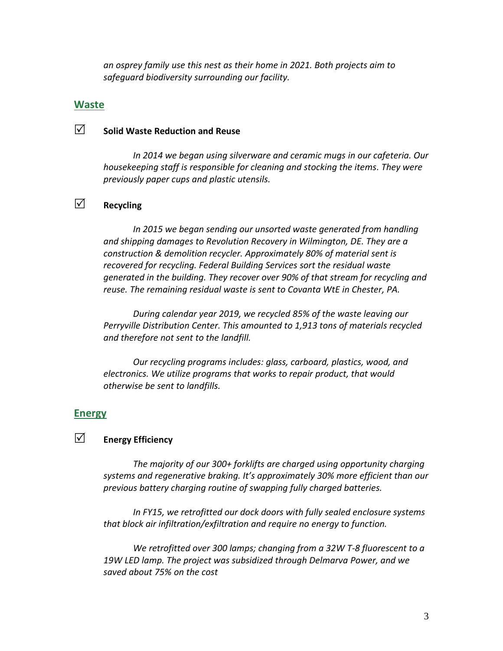*an osprey family use this nest as their home in 2021. Both projects aim to safeguard biodiversity surrounding our facility.* 

#### **[Waste](http://www.mde.state.md.us/marylandgreen/Pages/Waste.aspx)**

# **Solid Waste Reduction and Reuse**

*In 2014 we began using silverware and ceramic mugs in our cafeteria. Our housekeeping staff is responsible for cleaning and stocking the items. They were previously paper cups and plastic utensils.*

# **Recycling**

*In 2015 we began sending our unsorted waste generated from handling and shipping damages to Revolution Recovery in Wilmington, DE. They are a construction & demolition recycler. Approximately 80% of material sent is recovered for recycling. Federal Building Services sort the residual waste generated in the building. They recover over 90% of that stream for recycling and reuse. The remaining residual waste is sent to Covanta WtE in Chester, PA.* 

*During calendar year 2019, we recycled 85% of the waste leaving our Perryville Distribution Center. This amounted to 1,913 tons of materials recycled and therefore not sent to the landfill.*

*Our recycling programs includes: glass, carboard, plastics, wood, and electronics. We utilize programs that works to repair product, that would otherwise be sent to landfills.*

#### **[Energy](http://www.mde.state.md.us/marylandgreen/Pages/Energy.aspx)**

## **Energy Efficiency**

*The majority of our 300+ forklifts are charged using opportunity charging systems and regenerative braking. It's approximately 30% more efficient than our previous battery charging routine of swapping fully charged batteries.*

*In FY15, we retrofitted our dock doors with fully sealed enclosure systems that block air infiltration/exfiltration and require no energy to function.* 

*We retrofitted over 300 lamps; changing from a 32W T-8 fluorescent to a 19W LED lamp. The project was subsidized through Delmarva Power, and we saved about 75% on the cost*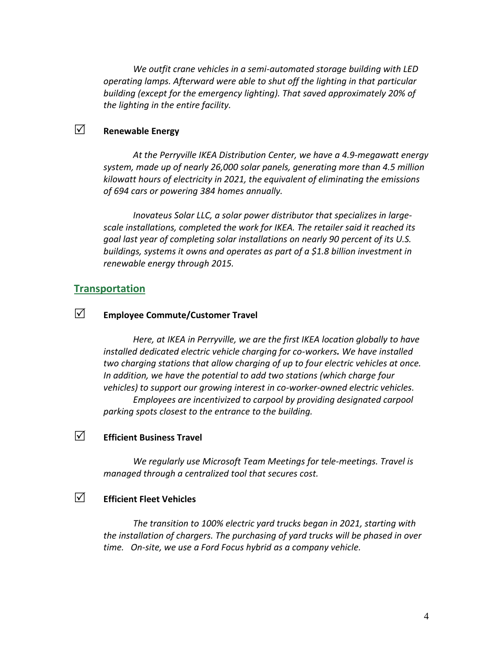*We outfit crane vehicles in a semi-automated storage building with LED operating lamps. Afterward were able to shut off the lighting in that particular building (except for the emergency lighting). That saved approximately 20% of the lighting in the entire facility.*

## **Z** Renewable Energy

*At the Perryville IKEA Distribution Center, we have a 4.9-megawatt energy system, made up of nearly 26,000 solar panels, generating more than 4.5 million kilowatt hours of electricity in 2021, the equivalent of eliminating the emissions of 694 cars or powering 384 homes annually.*

*Inovateus Solar LLC, a solar power distributor that specializes in largescale installations, completed the work for IKEA. The retailer said it reached its goal last year of completing solar installations on nearly 90 percent of its U.S. buildings, systems it owns and operates as part of a \$1.8 billion investment in renewable energy through 2015.* 

#### **[Transportation](http://www.mde.state.md.us/marylandgreen/Pages/Transportation.aspx)**

## **Employee Commute/Customer Travel**

*Here, at IKEA in Perryville, we are the first IKEA location globally to have installed dedicated electric vehicle charging for co-workers. We have installed two charging stations that allow charging of up to four electric vehicles at once. In addition, we have the potential to add two stations (which charge four vehicles) to support our growing interest in co-worker-owned electric vehicles. Employees are incentivized to carpool by providing designated carpool parking spots closest to the entrance to the building.*

## **Efficient Business Travel**

*We regularly use Microsoft Team Meetings for tele-meetings. Travel is managed through a centralized tool that secures cost.* 

## **Efficient Fleet Vehicles**

*The transition to 100% electric yard trucks began in 2021, starting with the installation of chargers. The purchasing of yard trucks will be phased in over time. On-site, we use a Ford Focus hybrid as a company vehicle.*